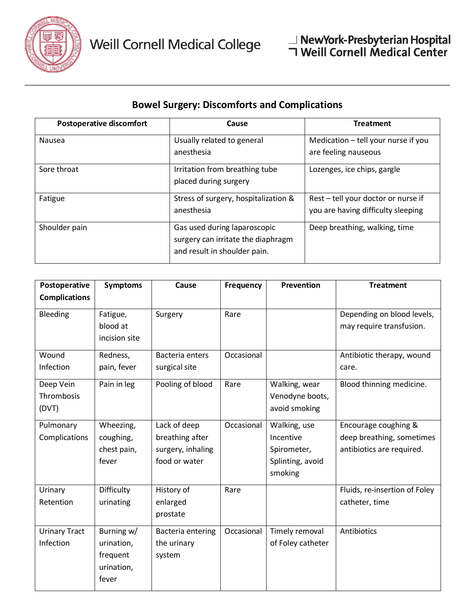

## **Bowel Surgery: Discomforts and Complications**

| <b>Postoperative discomfort</b> | Cause                                                                                              | <b>Treatment</b>                                                          |  |
|---------------------------------|----------------------------------------------------------------------------------------------------|---------------------------------------------------------------------------|--|
| Nausea                          | Usually related to general<br>anesthesia                                                           | Medication - tell your nurse if you<br>are feeling nauseous               |  |
| Sore throat                     | Irritation from breathing tube<br>placed during surgery                                            | Lozenges, ice chips, gargle                                               |  |
| Fatigue                         | Stress of surgery, hospitalization &<br>anesthesia                                                 | Rest - tell your doctor or nurse if<br>you are having difficulty sleeping |  |
| Shoulder pain                   | Gas used during laparoscopic<br>surgery can irritate the diaphragm<br>and result in shoulder pain. | Deep breathing, walking, time                                             |  |

| Postoperative        | <b>Symptoms</b> | Cause             | <b>Frequency</b> | <b>Prevention</b>        | <b>Treatment</b>              |
|----------------------|-----------------|-------------------|------------------|--------------------------|-------------------------------|
| <b>Complications</b> |                 |                   |                  |                          |                               |
| <b>Bleeding</b>      | Fatigue,        | Surgery           | Rare             |                          | Depending on blood levels,    |
|                      | blood at        |                   |                  |                          | may require transfusion.      |
|                      | incision site   |                   |                  |                          |                               |
| Wound                | Redness,        | Bacteria enters   | Occasional       |                          | Antibiotic therapy, wound     |
| Infection            | pain, fever     | surgical site     |                  |                          | care.                         |
| Deep Vein            | Pain in leg     | Pooling of blood  | Rare             | Walking, wear            | Blood thinning medicine.      |
| Thrombosis           |                 |                   |                  | Venodyne boots,          |                               |
|                      |                 |                   |                  |                          |                               |
| Pulmonary            | Wheezing,       | Lack of deep      | Occasional       | Walking, use             | Encourage coughing &          |
| Complications        | coughing,       | breathing after   |                  | Incentive                | deep breathing, sometimes     |
|                      | chest pain,     | surgery, inhaling |                  | Spirometer,              | antibiotics are required.     |
|                      | fever           | food or water     |                  | Splinting, avoid         |                               |
|                      |                 |                   |                  |                          |                               |
| Urinary              | Difficulty      | History of        | Rare             |                          | Fluids, re-insertion of Foley |
| Retention            | urinating       | enlarged          |                  |                          | catheter, time                |
|                      |                 | prostate          |                  |                          |                               |
| <b>Urinary Tract</b> | Burning w/      | Bacteria entering | Occasional       | Timely removal           | Antibiotics                   |
| Infection            | urination,      | the urinary       |                  | of Foley catheter        |                               |
|                      | frequent        | system            |                  |                          |                               |
|                      | urination,      |                   |                  |                          |                               |
|                      | fever           |                   |                  |                          |                               |
| (DVT)                |                 |                   |                  | avoid smoking<br>smoking |                               |